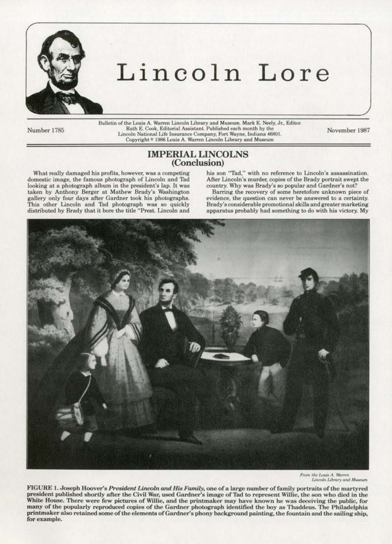

# Lincoln Lore

Bulletin of the Louis A. Warren Lincoln Library and Museum. Mark E. Neely, Jr., Editor. Number 1785 Ruth E. Cook, Editorial Assistant. Published each month by the Ruth E. Cook, Editorial Assistant. Published each month by the November 1987<br>Lincoln National Life Insurance Company, Fort Wayne, Indiana 46801. Copyright <sup>©</sup> 1986 Louis A. Warren Lincoln Library and Museum

# IMPERIAL LINCOLNS (Conclusion)

What really damaged his profits, however, was a competing domestic image, the famous photograph of Lincoln and Tad looking at a photograph album in the president's lap. It was taken by Anthony Berger at Mathew Brady's Washington gallery only four days after Gardner took his photographs. This other Lincoln and Tad photograph was so quickly distributed by Brady that it bore the title "Prest. Lincoln and

his son "Tad," with no reference to Lincoln's assassination. After Lincoln's murder, copies of the Brady portrait swept the country. Why was Brady's so popular and Gardner's not?

Barring the recovery of some heretofore unknown piece of evidence, the question can never be answered to a certainty. Brady's considerable promotional skills and greater marketing apparatus probably had something to do with his victory. My



From the Louis A, Warren<br>Lincoln Library and Museum

FIGURE 1. Joseph Hoover's *President Lincoln and His Family*, one of a large number of family portraits of the martyred president published shortly after the Civil War, used Gardner's image of Tad to represent Willie, the son who died in the White House. There were few pictures of Willie, and the printmaker may have known he was deceiving the public, for many of the popularly reproduced copies of the Gardner photograph identified the boy as Thaddeus. The Philadelphia printmaker also retained some of the elements of Gardner's phony background painting, the fountain and the sailing ship, for example.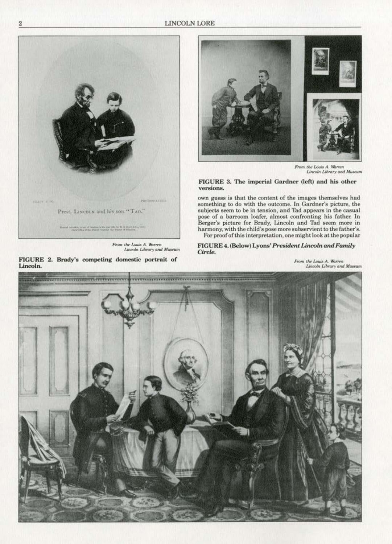**LINCOLN LORE** 



From the Louis A. Warren<br>Lincoln Library and Museum

FIGURE 2. Brady's competing domestic portrait of Lincoln.



From the Louis A. Warren<br>Lincoln Library and Museum

## FIGURE 3. The imperial Gardner (left) and his other versions.

own guess is that the content of the images themselves had something to do with the outcome. In Gardner's picture, the subjects seem to be in tension, and Tad appears in the casual pose of a barroom loafer, almost confronting his father. In Berger's picture for Brady, Lincoln and Tad seem more in harmony, with the child's pose more subservient to the father's. For proof of this interpretation, one might look at the popular

FIGURE 4. (Below) Lyons' President Lincoln and Family Circle.

**From the Louis A. Warren**<br>Lincoln Library and Museum

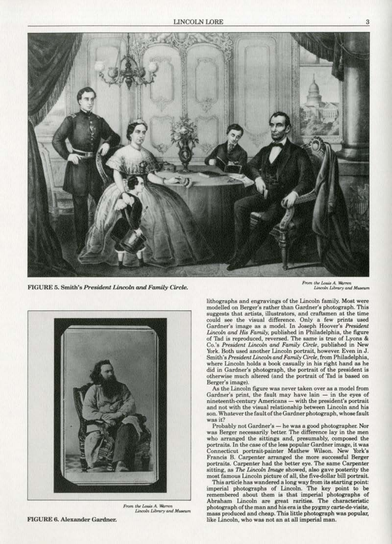

 $FIGURE 5. Smith's President Lincoln and Family Circle.$ 



*From the Louis A. Warren* Lincoln Library and Museum

From the Louis A. Warren Lincoln Library and Museum

lithographs and engravings of the Lincoln family. Most were modelled on Berger's rather than Gardner's photograph. This could see the visual difference. Only a few prints used Gardner's image as a model. In Joseph Hoover's President Lincoln *and His Family,* published in Philadelphia, the figure of Tad is reproduced, reversed. The same is true of Lyons & Co.'s *President Lincoln and Family Cirek,* published in New **York. Both used another Linooln portrait, however. Even in J.**  Smith's President Lincoln and Family Circle, from Philadelphia, where Lincoln holds a book casually in his right hand as he did in Gardner's photograph, the portrait of the president is otherwise much altered (and the portrait of Thd is based on Berger's image).

As the Lincoln figure was never taken over as a model from Gardner's print, the fault may have lain - in the eyes of **nineteenth-century Americans- with the president's portrait**  and not with the visual relationship between Lincoln and his son. Whatever the fault of the Gardner photograph, whose fault **was it?** 

Probably not Gardner's - he was a good photographer. Nor was Berger necessarily better. The difference lay in the men **who arranged the sittings and, presumably, composed the**  portraits. In the case of the less popular Gardner image, it was Connecticut portrait-painter Mathew Wilson. New York's Francia 8. Carpenter arranged the more successful Berger portraits. Carpenter had the better eye. The same Carpenter sitting, as *The Lincoln Image* showed, also gave posterity the most famous Lincoln picture of all, the five-dollar bill portrait.

This article has wandered along way from its starting point: imperial photographs of Lincoln. The key point to be remembered about them is that imperial photographs of Abraham Lincoln are great raritiea. The characteristic photograph of the man and his era is the pygmy carte-de-visite, mass produced and cheap. This little photograph was popular, like Lincoln, who was not an at all imperial man.

FIGURE 6. Alexander Gardner.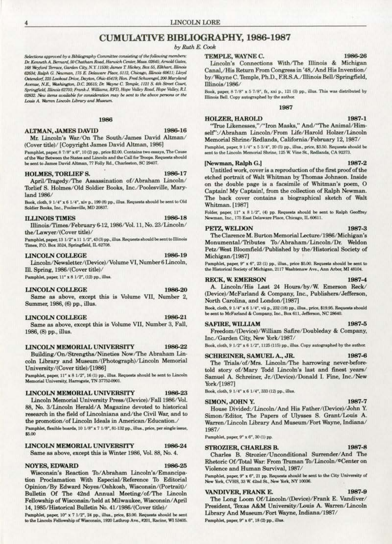# **CUMULATIVE BIBLIOGRAPHY, 1986-1987**

## by Ruth E. Cook

Selections approved by a Bibliography Committee consisting of the following members: Dr. Kenneth A. Bernard, 50 Chatham Road, Harwich Center, Mass. 02645; Arnold Gates, 168 Weyford Terrace, Garden City, N.Y. 11530; James T. Hickey, Box 55, Elkhart, Illinois 62634; Ralph G. Newman, 175 E. Delaware Place, 5112, Chicago, Illinois 60611; Lloyd Ostendorf, 225 Lookout Drive, Dayton, Ohio 45419; Hon. Fred Schwengel, 200 Maryland Avenue, N.E., Washington, D.C. 20515; Dr. Wayne C. Temple, 1121 S. 4th Street Court, Springfield, Illinois 62703; Frank J. Williams, RFD, Hope Valley Road, Hope Valley, R.I. 02832. New items available for consideration may be sent to the above persons or the Louis A. Warren Lincoln Library and Museum.

## 1986

## **ALTMAN, JAMES DAVID**

1986-16

Mr. Lincoln's War/On The South/James David Altman/ (Cover title)/[Copyright James David Altman, 1986]

Pamphlet, paper, 8 7/8" x 6", 10 (2) pp., price \$2.00. Contains two essays, The Cause of the War Between the States and Lincoln and the Call for Troops. Requests should be sent to James David Altman, 77 Folly Rd., Charleston, SC 29407.

## **HOLMES, TORLIEF S.**

1986-17

1986-18

April/Tragedy/The Assassination of/Abraham Lincoln/ Torlief S. Holmes/Old Soldier Books, Inc./Poolesville, Maryland 1986/

Book, cloth, 9 1/4" x 6 1/4", xiv p., 199 (8) pp., illus. Requests should be sent to Old Soldier Books, Inc., Poolesville, MD 20837.

## **ILLINOIS TIMES**

Illinois/Times/February 6-12, 1986/Vol. 11, No. 23/Lincoln/ the/Lawyer/(Cover title)/

Pamphlet, paper, 13 1/2" x 11 1/2", 43(3) pp., illus. Requests should be sent to Illinois Times, P.O. Box 3524, Springfield, IL 62708.

## **LINCOLN COLLEGE**

## 1986-19

Lincoln/Newsletter/(Device)/Volume VI, Number 6 Lincoln, Ill. Spring, 1986/(Cover title)/

Pamphlet, paper, 11" x 8 1/2", (12) pp., illus.

## **LINCOLN COLLEGE**

1986-20

Same as above, except this is Volume VII, Number 2, Summer, 1986, (6) pp., illus.

## **LINCOLN COLLEGE**

1986-21

1986-23

Same as above, except this is Volume VII, Number 3, Fall, 1986, (8) pp., illus.

#### **LINCOLN MEMORIAL UNIVERSITY** 1986-22

Building/On/Strengths/Nineties Now/The Abraham Lincoln Library and Museum/(Photograph)/Lincoln Memorial University/(Cover title)/[1986]

Pamphlet, paper, 11" x 8 1/2", 16 (1) pp., illus. Requests should be sent to Lincoln Memorial University, Harrogate, TN 37752-0901.

## LINCOLN MEMORIAL UNIVERSITY

Lincoln Memorial University Press/(Device)/Fall 1986/Vol. 88, No. 3/Lincoln Herald/A Magazine devoted to historical research in the field of Lincolniana and/the Civil War, and to the promotion/of Lincoln Ideals in American/Education./ Pamphlet, flexible boards, 10 1/8" x 7 1/8", 81-132 pp., illus., price, per single issue, \$5.00

#### LINCOLN MEMORIAL UNIVERSITY 1986-24

Same as above, except this is Winter 1986, Vol. 88, No. 4.

## **NOYES, EDWARD**

## 1986-25

Wisconsin's Reaction To/Abraham Lincoln's/Emancipation Proclamation With Especial/Reference To Editorial Opinion/By Edward Noyes/Oshkosh, Wisconsin/(Portrait)/ Bulletin Of The 42nd Annual Meeting/of/The Lincoln Fellowship of Wisconsin/held at Milwaukee, Wisconsin/April 14, 1985/Historical Bulletin No. 41/1986/(Cover title)/

Pamphlet, paper, 10" x 7 1/2", 24 pp., illus., price, \$3.00. Requests should be sent to the Lincoln Fellowship of Wisconsin, 1920 Lathrop Ave., #201, Racine, WI 53405.

## TEMPLE, WAYNE C.

Lincoln's Connections With/The Illinois & Michigan Canal,/His Return From Congress in '48,/And His Invention/ by/Wayne C. Temple, Ph.D., F.R.S.A./Illinois Bell/Springfield, Illinois/1986/

Book, paper, 8 7/8" x 5 7/8", fr., xxi p., 121 (3) pp., illus. This was distributed by Illinois Bell. Copy autographed by the author.

## 1987

1987-1 **HOLZER, HAROLD** "True Likenesses,"/"Iron Masks," And/"The Animal/Himself":/Abraham Lincoln/From Life/Harold Holzer/Lincoln

Memorial Shrine/Redlands, California/February 12, 1987/ Pamphlet, paper, 9 1/4" x 5 3/4", 20 (5) pp., illus., price, \$3.50. Requests should be sent to the Lincoln Memorial Shrine, 125 W. Vine St., Redlands, CA 92373.

## [Newman, Ralph G.]

Untitled work, cover is a reproduction of the first proof of the etched portrait of Walt Whitman by Thomas Johnson. Inside on the double page is a facsimile of Whitman's poem, O Captain! My Captain!, from the collection of Ralph Newman. The back cover contains a biographical sketch of Walt **Whitman.** [1987]

Folder, paper, 11" x 8 1/2", (4) pp. Requests should be sent to Ralph Geoffrey Newman, Inc., 175 East Delaware Place, Chicago, IL 60611.

## PETZ, WELDON

The Clarence M. Burton Memorial Lecture/1986/Michigan's Monumental/Tributes To/Abraham/Lincoln/Dr. Weldon Petz/West Bloomfield/Published by the/Historical Society of Michigan/[1987]

Pamphlet, paper, 9" x 6", 23 (1) pp., illus., price \$5.00. Requests should be sent to the Historical Society of Michigan, 2117 Washtenaw Ave., Ann Arbor, MI 48104.

## **RECK, W. EMERSON**

A. Lincoln/His Last 24 Hours/by/W. Emerson Reck/ (Device)/McFarland & Company, Inc., Publishers/Jefferson, North Carolina, and London/[1987]

Book, cloth, 9 1/4" x 6 1/4", vii p., 232 (18) pp., illus., price, \$19.95. Requests should be sent to McFarland & Company, Inc., Box 611, Jefferson, NC 28640.

### SAFIRE, WILLIAM

Freedom/(Device)/William Safire/Doubleday & Company, Inc./Garden City, New York/1987/

Book, cloth, 9 1/2" x 6 1/2", 1125 (115) pp., illus. Copy autographed by the author.

## SCHREINER, SAMUEL A., JR.

The Trials/of/Mrs. Lincoln/The harrowing never-beforetold story of/Mary Todd Lincoln's last and finest years/ Samuel A. Schreiner, Jr./(Device)/Donald I. Fine, Inc./New York/[1987]

Book, cloth, 9 1/4" x 6 1/4", 333 (12) pp., illus.

## SIMON, JOHN Y.

1987-7

1987-8

1987-9

House Divided:/Lincoln/And His Father/(Device)/John Y. Simon/Editor, The Papers of Ulysses S. Grant/Louis A. Warren/Lincoln Library And Museum/Fort Wayne, Indiana/ 1987/

Pamphlet, paper, 9" x 6", 30 (1) pp.

## STROZIER, CHARLES B.

Charles B. Strozier/Unconditional Surrender/And The Rhetoric Of/Total War: From Truman To/Lincoln/@Center on Violence and Human Survival, 1987/

Pamphlet, paper, 9" x 6", 21 pp. Requests should be sent to the City University of New York, CVHS, 33 W. 42nd St., New York, NY 10036.

## VANDIVER, FRANK E.

The Long Loom Of/Lincoln/(Device)/Frank E. Vandiver/ President, Texas A&M University/Louis A. Warren/Lincoln Library And Museum/Fort Wayne, Indiana/1987/

Pamphlet, paper, 9" x 6", 18 (2) pp., illus.

1986-26

1987-2

1987-3

1987-4

1987-5

1987-6